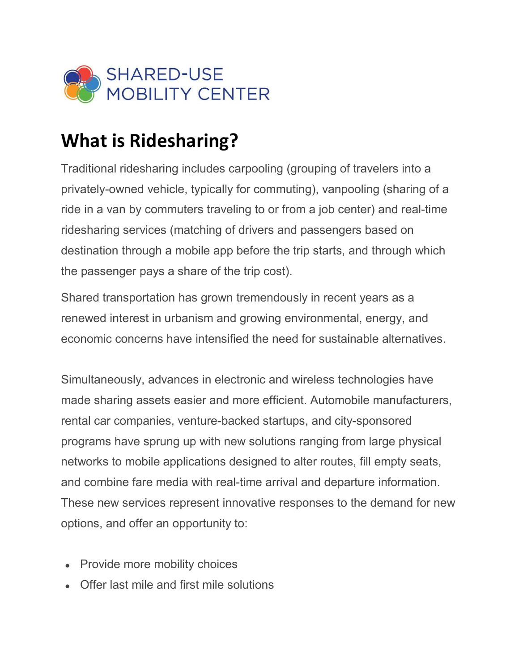

## **What is Ridesharing?**

Traditional ridesharing includes carpooling (grouping of travelers into a privately-owned vehicle, typically for commuting), vanpooling (sharing of a ride in a van by commuters traveling to or from a job center) and real-time ridesharing services (matching of drivers and passengers based on destination through a mobile app before the trip starts, and through which the passenger pays a share of the trip cost).

Shared transportation has grown tremendously in recent years as a renewed interest in urbanism and growing environmental, energy, and economic concerns have intensified the need for sustainable alternatives.

Simultaneously, advances in electronic and wireless technologies have made sharing assets easier and more efficient. Automobile manufacturers, rental car companies, venture-backed startups, and city-sponsored programs have sprung up with new solutions ranging from large physical networks to mobile applications designed to alter routes, fill empty seats, and combine fare media with real-time arrival and departure information. These new services represent innovative responses to the demand for new options, and offer an opportunity to:

- Provide more mobility choices
- Offer last mile and first mile solutions